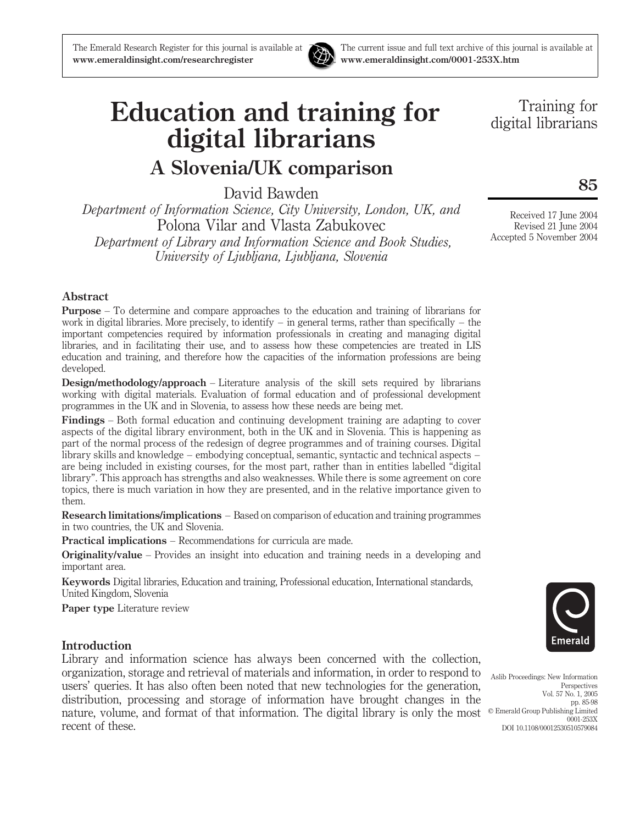www.emeraldinsight.com/researchregister www.emeraldinsight.com/0001-253X.htm



The Emerald Research Register for this journal is available at The current issue and full text archive of this journal is available at

# Education and training for digital librarians

# A Slovenia/UK comparison

David Bawden

Department of Information Science, City University, London, UK, and Polona Vilar and Vlasta Zabukovec

Department of Library and Information Science and Book Studies, University of Liubliana, Liubliana, Slovenia

Training for digital librarians

85

Received 17 June 2004 Revised 21 June 2004 Accepted 5 November 2004

# Abstract

Purpose – To determine and compare approaches to the education and training of librarians for work in digital libraries. More precisely, to identify  $-$  in general terms, rather than specifically  $-$  the important competencies required by information professionals in creating and managing digital libraries, and in facilitating their use, and to assess how these competencies are treated in LIS education and training, and therefore how the capacities of the information professions are being developed.

Design/methodology/approach – Literature analysis of the skill sets required by librarians working with digital materials. Evaluation of formal education and of professional development programmes in the UK and in Slovenia, to assess how these needs are being met.

Findings – Both formal education and continuing development training are adapting to cover aspects of the digital library environment, both in the UK and in Slovenia. This is happening as part of the normal process of the redesign of degree programmes and of training courses. Digital library skills and knowledge – embodying conceptual, semantic, syntactic and technical aspects – are being included in existing courses, for the most part, rather than in entities labelled "digital library". This approach has strengths and also weaknesses. While there is some agreement on core topics, there is much variation in how they are presented, and in the relative importance given to them.

Research limitations/implications – Based on comparison of education and training programmes in two countries, the UK and Slovenia.

Practical implications – Recommendations for curricula are made.

Originality/value – Provides an insight into education and training needs in a developing and important area.

Keywords Digital libraries, Education and training, Professional education, International standards, United Kingdom, Slovenia

Paper type Literature review

# Introduction

Library and information science has always been concerned with the collection, organization, storage and retrieval of materials and information, in order to respond to users' queries. It has also often been noted that new technologies for the generation, distribution, processing and storage of information have brought changes in the nature, volume, and format of that information. The digital library is only the most recent of these.



Aslib Proceedings: New Information Perspectives Vol. 57 No. 1, 2005 pp. 85-98  $©$  Emerald Group Publishing Limited 0001-253X DOI 10.1108/00012530510579084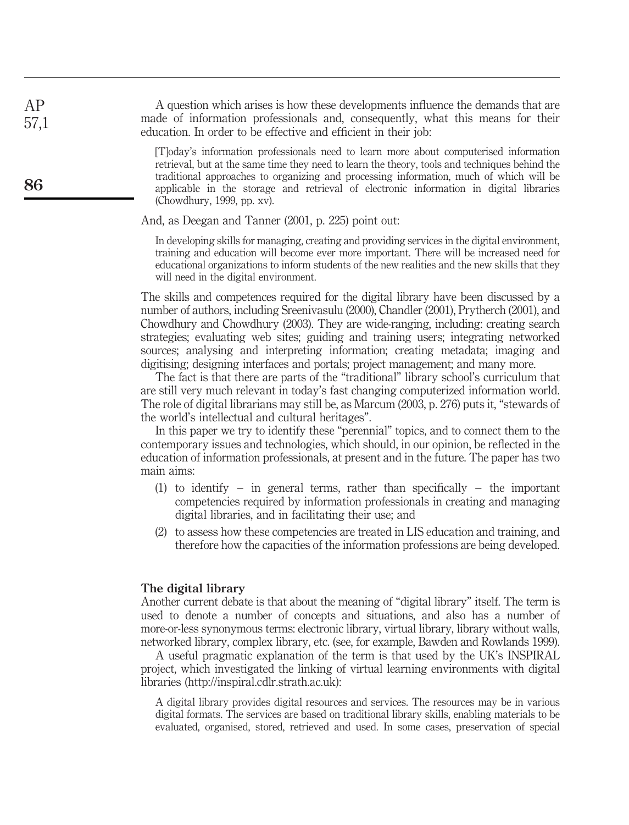A question which arises is how these developments influence the demands that are made of information professionals and, consequently, what this means for their education. In order to be effective and efficient in their job:

[T]oday's information professionals need to learn more about computerised information retrieval, but at the same time they need to learn the theory, tools and techniques behind the traditional approaches to organizing and processing information, much of which will be applicable in the storage and retrieval of electronic information in digital libraries (Chowdhury, 1999, pp. xv).

And, as Deegan and Tanner (2001, p. 225) point out:

In developing skills for managing, creating and providing services in the digital environment, training and education will become ever more important. There will be increased need for educational organizations to inform students of the new realities and the new skills that they will need in the digital environment.

The skills and competences required for the digital library have been discussed by a number of authors, including Sreenivasulu (2000), Chandler (2001), Prytherch (2001), and Chowdhury and Chowdhury (2003). They are wide-ranging, including: creating search strategies; evaluating web sites; guiding and training users; integrating networked sources; analysing and interpreting information; creating metadata; imaging and digitising; designing interfaces and portals; project management; and many more.

The fact is that there are parts of the "traditional" library school's curriculum that are still very much relevant in today's fast changing computerized information world. The role of digital librarians may still be, as Marcum (2003, p. 276) puts it, "stewards of the world's intellectual and cultural heritages".

In this paper we try to identify these "perennial" topics, and to connect them to the contemporary issues and technologies, which should, in our opinion, be reflected in the education of information professionals, at present and in the future. The paper has two main aims:

- (1) to identify in general terms, rather than specifically the important competencies required by information professionals in creating and managing digital libraries, and in facilitating their use; and
- (2) to assess how these competencies are treated in LIS education and training, and therefore how the capacities of the information professions are being developed.

#### The digital library

Another current debate is that about the meaning of "digital library" itself. The term is used to denote a number of concepts and situations, and also has a number of more-or-less synonymous terms: electronic library, virtual library, library without walls, networked library, complex library, etc. (see, for example, Bawden and Rowlands 1999).

A useful pragmatic explanation of the term is that used by the UK's INSPIRAL project, which investigated the linking of virtual learning environments with digital libraries (http://inspiral.cdlr.strath.ac.uk):

A digital library provides digital resources and services. The resources may be in various digital formats. The services are based on traditional library skills, enabling materials to be evaluated, organised, stored, retrieved and used. In some cases, preservation of special

86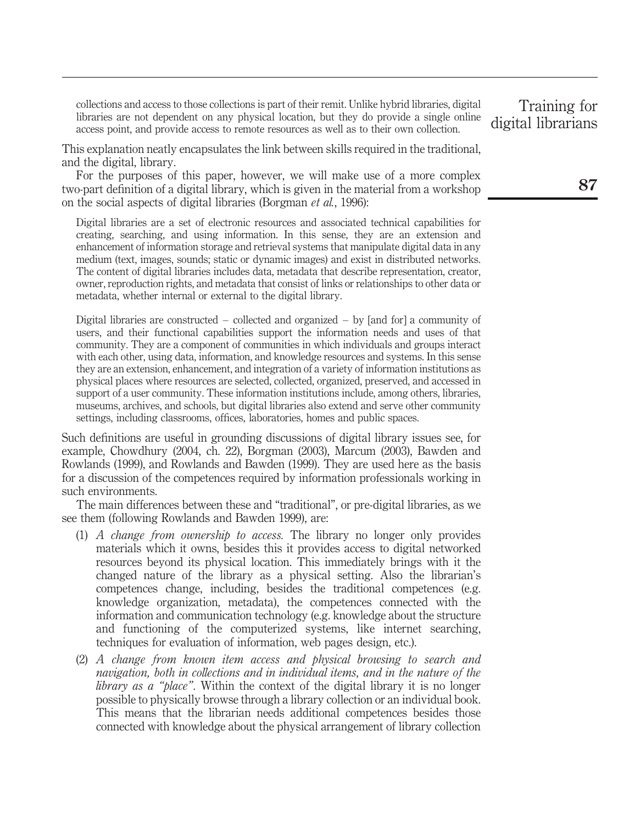collections and access to those collections is part of their remit. Unlike hybrid libraries, digital libraries are not dependent on any physical location, but they do provide a single online access point, and provide access to remote resources as well as to their own collection.

This explanation neatly encapsulates the link between skills required in the traditional, and the digital, library.

For the purposes of this paper, however, we will make use of a more complex two-part definition of a digital library, which is given in the material from a workshop on the social aspects of digital libraries (Borgman et al., 1996):

Digital libraries are a set of electronic resources and associated technical capabilities for creating, searching, and using information. In this sense, they are an extension and enhancement of information storage and retrieval systems that manipulate digital data in any medium (text, images, sounds; static or dynamic images) and exist in distributed networks. The content of digital libraries includes data, metadata that describe representation, creator, owner, reproduction rights, and metadata that consist of links or relationships to other data or metadata, whether internal or external to the digital library.

Digital libraries are constructed – collected and organized – by [and for] a community of users, and their functional capabilities support the information needs and uses of that community. They are a component of communities in which individuals and groups interact with each other, using data, information, and knowledge resources and systems. In this sense they are an extension, enhancement, and integration of a variety of information institutions as physical places where resources are selected, collected, organized, preserved, and accessed in support of a user community. These information institutions include, among others, libraries, museums, archives, and schools, but digital libraries also extend and serve other community settings, including classrooms, offices, laboratories, homes and public spaces.

Such definitions are useful in grounding discussions of digital library issues see, for example, Chowdhury (2004, ch. 22), Borgman (2003), Marcum (2003), Bawden and Rowlands (1999), and Rowlands and Bawden (1999). They are used here as the basis for a discussion of the competences required by information professionals working in such environments.

The main differences between these and "traditional", or pre-digital libraries, as we see them (following Rowlands and Bawden 1999), are:

- (1) A change from ownership to access. The library no longer only provides materials which it owns, besides this it provides access to digital networked resources beyond its physical location. This immediately brings with it the changed nature of the library as a physical setting. Also the librarian's competences change, including, besides the traditional competences (e.g. knowledge organization, metadata), the competences connected with the information and communication technology (e.g. knowledge about the structure and functioning of the computerized systems, like internet searching, techniques for evaluation of information, web pages design, etc.).
- (2) A change from known item access and physical browsing to search and navigation, both in collections and in individual items, and in the nature of the library as a "place". Within the context of the digital library it is no longer possible to physically browse through a library collection or an individual book. This means that the librarian needs additional competences besides those connected with knowledge about the physical arrangement of library collection

Training for digital librarians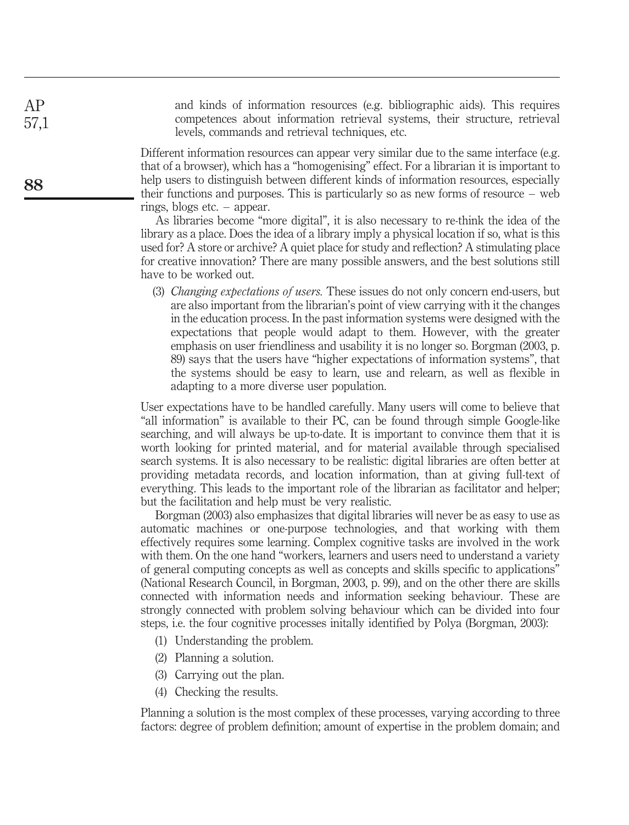and kinds of information resources (e.g. bibliographic aids). This requires competences about information retrieval systems, their structure, retrieval levels, commands and retrieval techniques, etc.

Different information resources can appear very similar due to the same interface (e.g. that of a browser), which has a "homogenising" effect. For a librarian it is important to help users to distinguish between different kinds of information resources, especially their functions and purposes. This is particularly so as new forms of resource – web rings, blogs etc. – appear.

As libraries become "more digital", it is also necessary to re-think the idea of the library as a place. Does the idea of a library imply a physical location if so, what is this used for? A store or archive? A quiet place for study and reflection? A stimulating place for creative innovation? There are many possible answers, and the best solutions still have to be worked out.

(3) Changing expectations of users. These issues do not only concern end-users, but are also important from the librarian's point of view carrying with it the changes in the education process. In the past information systems were designed with the expectations that people would adapt to them. However, with the greater emphasis on user friendliness and usability it is no longer so. Borgman (2003, p. 89) says that the users have "higher expectations of information systems", that the systems should be easy to learn, use and relearn, as well as flexible in adapting to a more diverse user population.

User expectations have to be handled carefully. Many users will come to believe that "all information" is available to their PC, can be found through simple Google-like searching, and will always be up-to-date. It is important to convince them that it is worth looking for printed material, and for material available through specialised search systems. It is also necessary to be realistic: digital libraries are often better at providing metadata records, and location information, than at giving full-text of everything. This leads to the important role of the librarian as facilitator and helper; but the facilitation and help must be very realistic.

Borgman (2003) also emphasizes that digital libraries will never be as easy to use as automatic machines or one-purpose technologies, and that working with them effectively requires some learning. Complex cognitive tasks are involved in the work with them. On the one hand "workers, learners and users need to understand a variety of general computing concepts as well as concepts and skills specific to applications" (National Research Council, in Borgman, 2003, p. 99), and on the other there are skills connected with information needs and information seeking behaviour. These are strongly connected with problem solving behaviour which can be divided into four steps, i.e. the four cognitive processes initally identified by Polya (Borgman, 2003):

- (1) Understanding the problem.
- (2) Planning a solution.
- (3) Carrying out the plan.
- (4) Checking the results.

Planning a solution is the most complex of these processes, varying according to three factors: degree of problem definition; amount of expertise in the problem domain; and

AP 57,1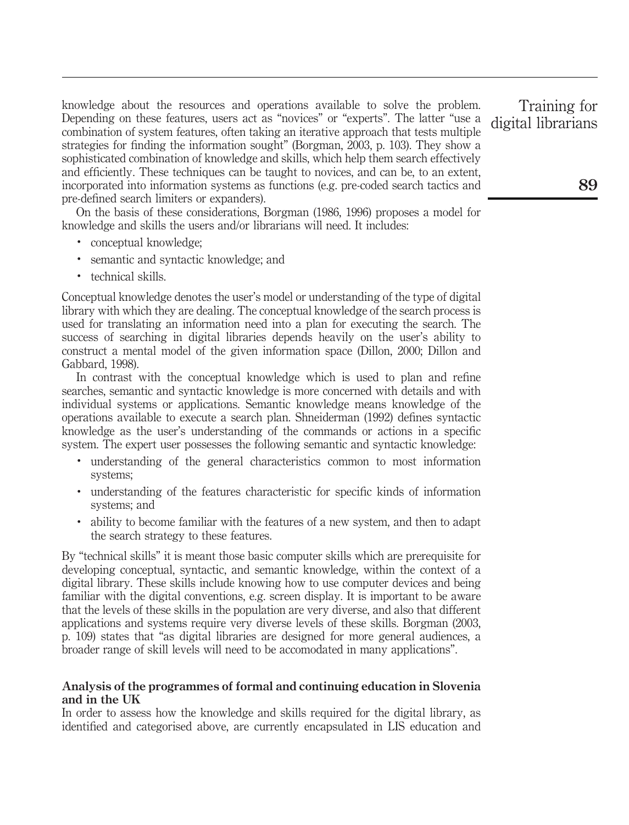knowledge about the resources and operations available to solve the problem. Depending on these features, users act as "novices" or "experts". The latter "use a combination of system features, often taking an iterative approach that tests multiple strategies for finding the information sought" (Borgman, 2003, p. 103). They show a sophisticated combination of knowledge and skills, which help them search effectively and efficiently. These techniques can be taught to novices, and can be, to an extent, incorporated into information systems as functions (e.g. pre-coded search tactics and pre-defined search limiters or expanders).

On the basis of these considerations, Borgman (1986, 1996) proposes a model for knowledge and skills the users and/or librarians will need. It includes:

- . conceptual knowledge;
- . semantic and syntactic knowledge; and
- . technical skills.

Conceptual knowledge denotes the user's model or understanding of the type of digital library with which they are dealing. The conceptual knowledge of the search process is used for translating an information need into a plan for executing the search. The success of searching in digital libraries depends heavily on the user's ability to construct a mental model of the given information space (Dillon, 2000; Dillon and Gabbard, 1998).

In contrast with the conceptual knowledge which is used to plan and refine searches, semantic and syntactic knowledge is more concerned with details and with individual systems or applications. Semantic knowledge means knowledge of the operations available to execute a search plan. Shneiderman (1992) defines syntactic knowledge as the user's understanding of the commands or actions in a specific system. The expert user possesses the following semantic and syntactic knowledge:

- . understanding of the general characteristics common to most information systems;
- . understanding of the features characteristic for specific kinds of information systems; and
- . ability to become familiar with the features of a new system, and then to adapt the search strategy to these features.

By "technical skills" it is meant those basic computer skills which are prerequisite for developing conceptual, syntactic, and semantic knowledge, within the context of a digital library. These skills include knowing how to use computer devices and being familiar with the digital conventions, e.g. screen display. It is important to be aware that the levels of these skills in the population are very diverse, and also that different applications and systems require very diverse levels of these skills. Borgman (2003, p. 109) states that "as digital libraries are designed for more general audiences, a broader range of skill levels will need to be accomodated in many applications".

# Analysis of the programmes of formal and continuing education in Slovenia and in the UK

In order to assess how the knowledge and skills required for the digital library, as identified and categorised above, are currently encapsulated in LIS education and

Training for digital librarians

89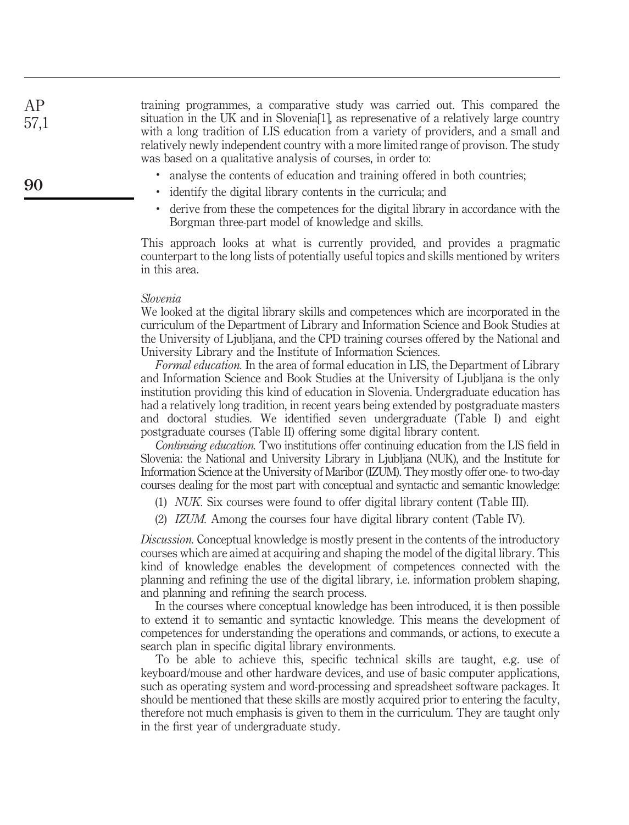training programmes, a comparative study was carried out. This compared the situation in the UK and in Slovenia[1], as represenative of a relatively large country with a long tradition of LIS education from a variety of providers, and a small and relatively newly independent country with a more limited range of provison. The study was based on a qualitative analysis of courses, in order to:

- . analyse the contents of education and training offered in both countries;
- . identify the digital library contents in the curricula; and
- . derive from these the competences for the digital library in accordance with the Borgman three-part model of knowledge and skills.

This approach looks at what is currently provided, and provides a pragmatic counterpart to the long lists of potentially useful topics and skills mentioned by writers in this area.

#### Slovenia

We looked at the digital library skills and competences which are incorporated in the curriculum of the Department of Library and Information Science and Book Studies at the University of Ljubljana, and the CPD training courses offered by the National and University Library and the Institute of Information Sciences.

Formal education. In the area of formal education in LIS, the Department of Library and Information Science and Book Studies at the University of Ljubljana is the only institution providing this kind of education in Slovenia. Undergraduate education has had a relatively long tradition, in recent years being extended by postgraduate masters and doctoral studies. We identified seven undergraduate (Table I) and eight postgraduate courses (Table II) offering some digital library content.

Continuing education. Two institutions offer continuing education from the LIS field in Slovenia: the National and University Library in Ljubljana (NUK), and the Institute for Information Science at the University of Maribor (IZUM). They mostly offer one- to two-day courses dealing for the most part with conceptual and syntactic and semantic knowledge:

- (1) NUK. Six courses were found to offer digital library content (Table III).
- (2) IZUM. Among the courses four have digital library content (Table IV).

Discussion. Conceptual knowledge is mostly present in the contents of the introductory courses which are aimed at acquiring and shaping the model of the digital library. This kind of knowledge enables the development of competences connected with the planning and refining the use of the digital library, i.e. information problem shaping, and planning and refining the search process.

In the courses where conceptual knowledge has been introduced, it is then possible to extend it to semantic and syntactic knowledge. This means the development of competences for understanding the operations and commands, or actions, to execute a search plan in specific digital library environments.

To be able to achieve this, specific technical skills are taught, e.g. use of keyboard/mouse and other hardware devices, and use of basic computer applications, such as operating system and word-processing and spreadsheet software packages. It should be mentioned that these skills are mostly acquired prior to entering the faculty, therefore not much emphasis is given to them in the curriculum. They are taught only in the first year of undergraduate study.

AP 57,1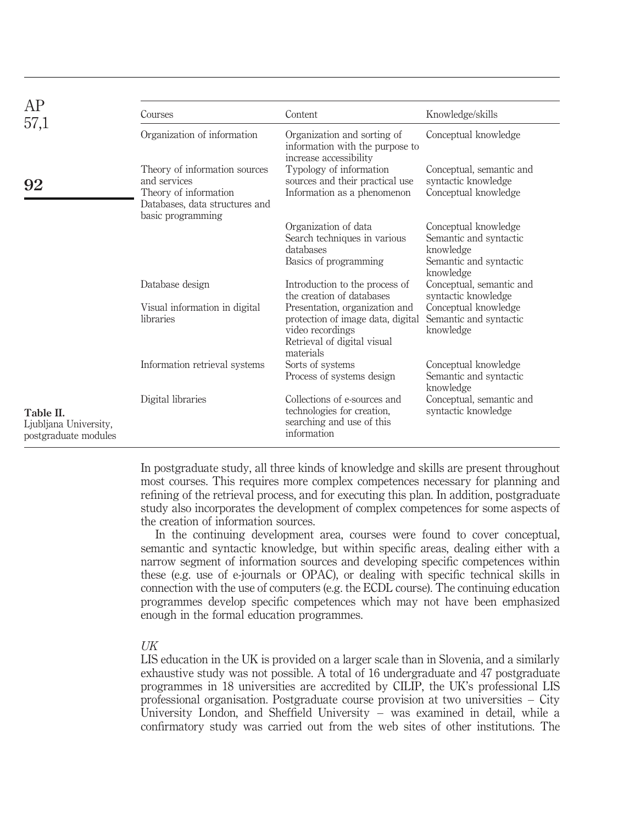| AP<br>57,1                                                 | Courses                                                                                                                       | Content                                                                                                                             | Knowledge/skills                                                                                   |
|------------------------------------------------------------|-------------------------------------------------------------------------------------------------------------------------------|-------------------------------------------------------------------------------------------------------------------------------------|----------------------------------------------------------------------------------------------------|
|                                                            | Organization of information                                                                                                   | Organization and sorting of<br>information with the purpose to<br>increase accessibility                                            | Conceptual knowledge                                                                               |
| 92                                                         | Theory of information sources<br>and services<br>Theory of information<br>Databases, data structures and<br>basic programming | Typology of information<br>sources and their practical use<br>Information as a phenomenon                                           | Conceptual, semantic and<br>syntactic knowledge<br>Conceptual knowledge                            |
|                                                            |                                                                                                                               | Organization of data<br>Search techniques in various<br>databases<br>Basics of programming                                          | Conceptual knowledge<br>Semantic and syntactic<br>knowledge<br>Semantic and syntactic<br>knowledge |
|                                                            | Database design                                                                                                               | Introduction to the process of<br>the creation of databases                                                                         | Conceptual, semantic and<br>syntactic knowledge                                                    |
|                                                            | Visual information in digital<br>libraries                                                                                    | Presentation, organization and<br>protection of image data, digital<br>video recordings<br>Retrieval of digital visual<br>materials | Conceptual knowledge<br>Semantic and syntactic<br>knowledge                                        |
|                                                            | Information retrieval systems                                                                                                 | Sorts of systems<br>Process of systems design                                                                                       | Conceptual knowledge<br>Semantic and syntactic<br>knowledge                                        |
| Table II.<br>Ljubljana University,<br>postgraduate modules | Digital libraries                                                                                                             | Collections of e-sources and<br>technologies for creation,<br>searching and use of this<br>information                              | Conceptual, semantic and<br>syntactic knowledge                                                    |

In postgraduate study, all three kinds of knowledge and skills are present throughout most courses. This requires more complex competences necessary for planning and refining of the retrieval process, and for executing this plan. In addition, postgraduate study also incorporates the development of complex competences for some aspects of the creation of information sources.

In the continuing development area, courses were found to cover conceptual, semantic and syntactic knowledge, but within specific areas, dealing either with a narrow segment of information sources and developing specific competences within these (e.g. use of e-journals or OPAC), or dealing with specific technical skills in connection with the use of computers (e.g. the ECDL course). The continuing education programmes develop specific competences which may not have been emphasized enough in the formal education programmes.

# UK

LIS education in the UK is provided on a larger scale than in Slovenia, and a similarly exhaustive study was not possible. A total of 16 undergraduate and 47 postgraduate programmes in 18 universities are accredited by CILIP, the UK's professional LIS professional organisation. Postgraduate course provision at two universities – City University London, and Sheffield University – was examined in detail, while a confirmatory study was carried out from the web sites of other institutions. The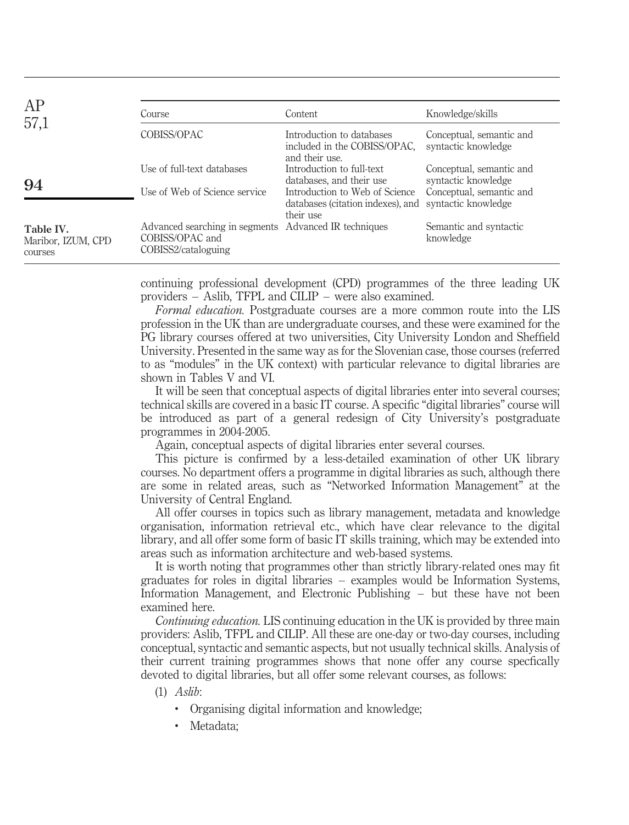| AP<br>57,1                                 | Course                                                                                          | Content                                                                                 | Knowledge/skills                                                            |
|--------------------------------------------|-------------------------------------------------------------------------------------------------|-----------------------------------------------------------------------------------------|-----------------------------------------------------------------------------|
|                                            | COBISS/OPAC                                                                                     | Introduction to databases<br>included in the COBISS/OPAC,<br>and their use.             | Conceptual, semantic and<br>syntactic knowledge                             |
| 94                                         | Use of full-text databases<br>Use of Web of Science service                                     | Introduction to full-text<br>databases, and their use<br>Introduction to Web of Science | Conceptual, semantic and<br>syntactic knowledge<br>Conceptual, semantic and |
|                                            |                                                                                                 | databases (citation indexes), and<br>their use                                          | syntactic knowledge                                                         |
| Table IV.<br>Maribor, IZUM, CPD<br>courses | Advanced searching in segments Advanced IR techniques<br>COBISS/OPAC and<br>COBISS2/cataloguing |                                                                                         | Semantic and syntactic<br>knowledge                                         |

continuing professional development (CPD) programmes of the three leading UK providers – Aslib, TFPL and CILIP – were also examined.

Formal education. Postgraduate courses are a more common route into the LIS profession in the UK than are undergraduate courses, and these were examined for the PG library courses offered at two universities, City University London and Sheffield University. Presented in the same way as for the Slovenian case, those courses (referred to as "modules" in the UK context) with particular relevance to digital libraries are shown in Tables V and VI.

It will be seen that conceptual aspects of digital libraries enter into several courses; technical skills are covered in a basic IT course. A specific "digital libraries" course will be introduced as part of a general redesign of City University's postgraduate programmes in 2004-2005.

Again, conceptual aspects of digital libraries enter several courses.

This picture is confirmed by a less-detailed examination of other UK library courses. No department offers a programme in digital libraries as such, although there are some in related areas, such as "Networked Information Management" at the University of Central England.

All offer courses in topics such as library management, metadata and knowledge organisation, information retrieval etc., which have clear relevance to the digital library, and all offer some form of basic IT skills training, which may be extended into areas such as information architecture and web-based systems.

It is worth noting that programmes other than strictly library-related ones may fit graduates for roles in digital libraries – examples would be Information Systems, Information Management, and Electronic Publishing – but these have not been examined here.

Continuing education. LIS continuing education in the UK is provided by three main providers: Aslib, TFPL and CILIP. All these are one-day or two-day courses, including conceptual, syntactic and semantic aspects, but not usually technical skills. Analysis of their current training programmes shows that none offer any course specfically devoted to digital libraries, but all offer some relevant courses, as follows:

(1) Aslib:

- . Organising digital information and knowledge;
- . Metadata;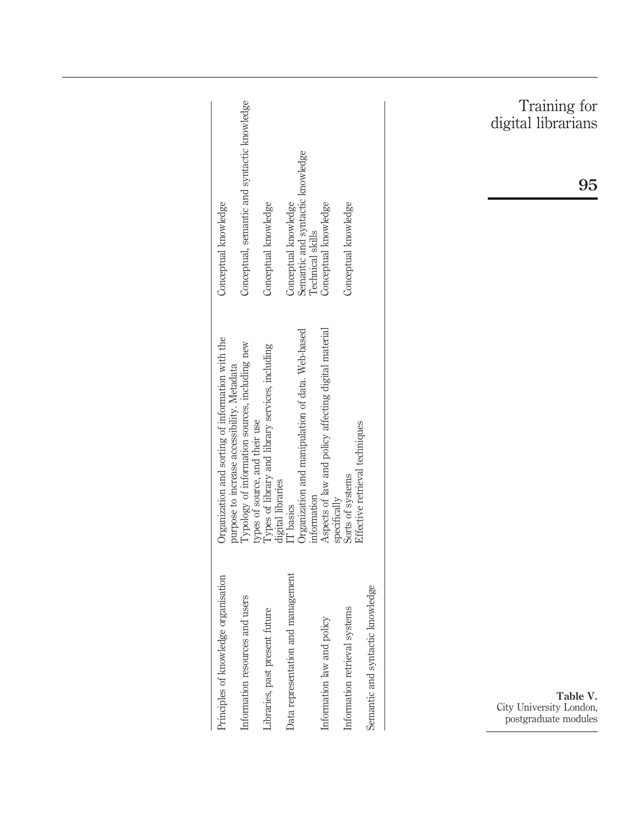| Training for<br>digital librarians                          |                                     |                                                                    |                                                                                                                         |                                                                                    |                                                                                  |                                                                                                 |
|-------------------------------------------------------------|-------------------------------------|--------------------------------------------------------------------|-------------------------------------------------------------------------------------------------------------------------|------------------------------------------------------------------------------------|----------------------------------------------------------------------------------|-------------------------------------------------------------------------------------------------|
| 95                                                          |                                     | Conceptual knowledge                                               | Semantic and syntactic knowledge<br>Conceptual knowledge<br>Technical skills                                            | Conceptual knowledge<br>Conceptual knowledge                                       | Conceptual, semantic and syntactic knowledge                                     | Conceptual knowledge                                                                            |
|                                                             |                                     | Effective retrieval techniques<br>Sorts of systems<br>specifically | Aspects of law and policy affecting digital material<br>Organization and manipulation of data. Web-based<br>information | Types of library and library services, including<br>digital libraries<br>IT basics | Typology of information sources, including new<br>types of source, and their use | Organization and sorting of information with the<br>purpose to increase accessibility. Metadata |
| Table V.<br>City University London,<br>postgraduate modules | knowledge<br>Semantic and syntactic | Information retrieval systems                                      | Information law and policy                                                                                              | Data representation and management<br>Libraries, past present future               | Information resources and users                                                  | Principles of knowledge organisation                                                            |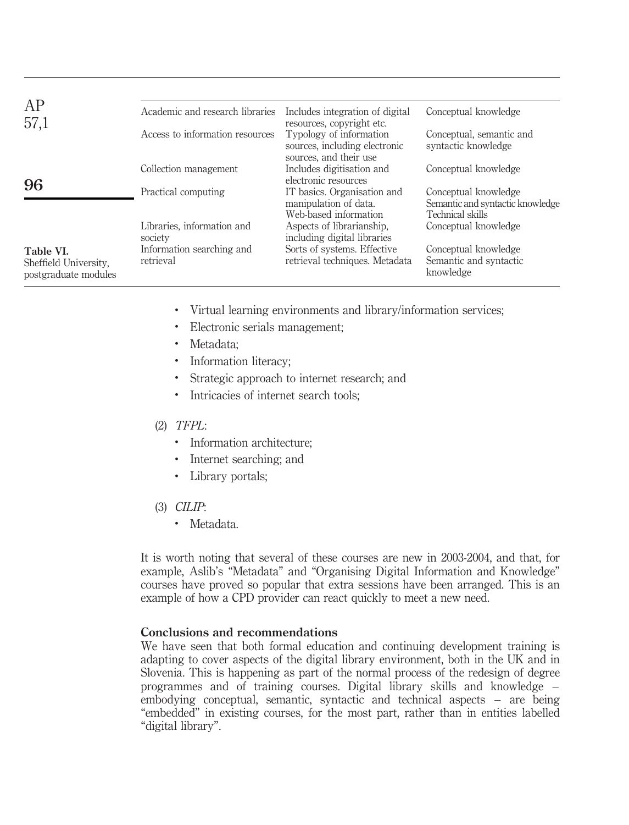| AP<br>57,1                                                 | Academic and research libraries        | Includes integration of digital<br>resources, copyright etc.                       | Conceptual knowledge                                                         |
|------------------------------------------------------------|----------------------------------------|------------------------------------------------------------------------------------|------------------------------------------------------------------------------|
|                                                            | Access to information resources        | Typology of information<br>sources, including electronic<br>sources, and their use | Conceptual, semantic and<br>syntactic knowledge                              |
|                                                            | Collection management                  | Includes digitisation and<br>electronic resources                                  | Conceptual knowledge                                                         |
| 96                                                         | Practical computing                    | IT basics. Organisation and<br>manipulation of data.<br>Web-based information      | Conceptual knowledge<br>Semantic and syntactic knowledge<br>Technical skills |
|                                                            | Libraries, information and<br>society  | Aspects of librarianship.<br>including digital libraries                           | Conceptual knowledge                                                         |
| Table VI.<br>Sheffield University,<br>postgraduate modules | Information searching and<br>retrieval | Sorts of systems. Effective<br>retrieval techniques. Metadata                      | Conceptual knowledge<br>Semantic and syntactic<br>knowledge                  |

- . Virtual learning environments and library/information services;
- . Electronic serials management;
- . Metadata;
- . Information literacy;
- . Strategic approach to internet research; and
- . Intricacies of internet search tools;

# (2) TFPL:

- . Information architecture;
- . Internet searching; and
- . Library portals;
- (3) CILIP:
	- . Metadata.

It is worth noting that several of these courses are new in 2003-2004, and that, for example, Aslib's "Metadata" and "Organising Digital Information and Knowledge" courses have proved so popular that extra sessions have been arranged. This is an example of how a CPD provider can react quickly to meet a new need.

# Conclusions and recommendations

We have seen that both formal education and continuing development training is adapting to cover aspects of the digital library environment, both in the UK and in Slovenia. This is happening as part of the normal process of the redesign of degree programmes and of training courses. Digital library skills and knowledge – embodying conceptual, semantic, syntactic and technical aspects – are being "embedded" in existing courses, for the most part, rather than in entities labelled "digital library".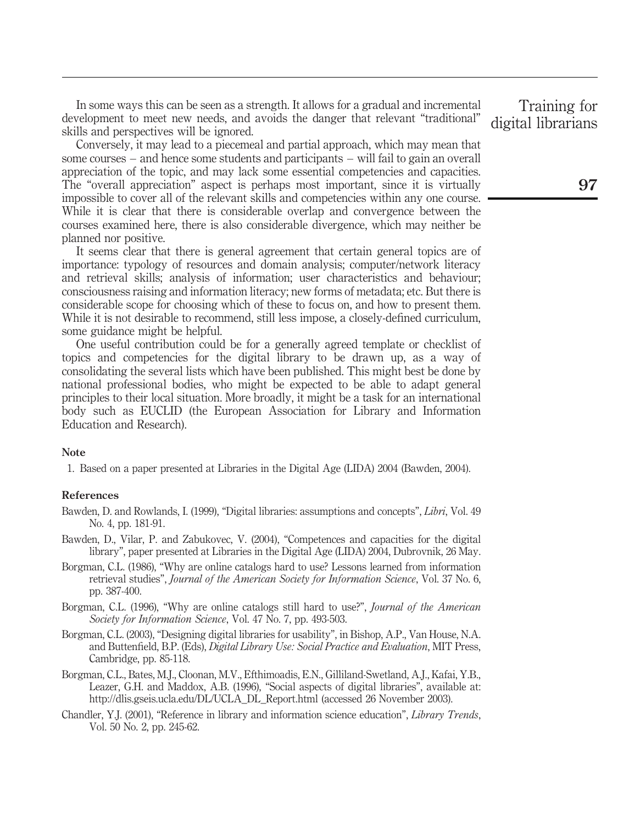In some ways this can be seen as a strength. It allows for a gradual and incremental development to meet new needs, and avoids the danger that relevant "traditional" skills and perspectives will be ignored.

Conversely, it may lead to a piecemeal and partial approach, which may mean that some courses – and hence some students and participants – will fail to gain an overall appreciation of the topic, and may lack some essential competencies and capacities. The "overall appreciation" aspect is perhaps most important, since it is virtually impossible to cover all of the relevant skills and competencies within any one course. While it is clear that there is considerable overlap and convergence between the courses examined here, there is also considerable divergence, which may neither be planned nor positive.

It seems clear that there is general agreement that certain general topics are of importance: typology of resources and domain analysis; computer/network literacy and retrieval skills; analysis of information; user characteristics and behaviour; consciousness raising and information literacy; new forms of metadata; etc. But there is considerable scope for choosing which of these to focus on, and how to present them. While it is not desirable to recommend, still less impose, a closely-defined curriculum, some guidance might be helpful.

One useful contribution could be for a generally agreed template or checklist of topics and competencies for the digital library to be drawn up, as a way of consolidating the several lists which have been published. This might best be done by national professional bodies, who might be expected to be able to adapt general principles to their local situation. More broadly, it might be a task for an international body such as EUCLID (the European Association for Library and Information Education and Research).

# Note

1. Based on a paper presented at Libraries in the Digital Age (LIDA) 2004 (Bawden, 2004).

## References

- Bawden, D. and Rowlands, I. (1999), "Digital libraries: assumptions and concepts", Libri, Vol. 49 No. 4, pp. 181-91.
- Bawden, D., Vilar, P. and Zabukovec, V. (2004), "Competences and capacities for the digital library", paper presented at Libraries in the Digital Age (LIDA) 2004, Dubrovnik, 26 May.
- Borgman, C.L. (1986), "Why are online catalogs hard to use? Lessons learned from information retrieval studies", Journal of the American Society for Information Science, Vol. 37 No. 6, pp. 387-400.
- Borgman, C.L. (1996), "Why are online catalogs still hard to use?", Journal of the American Society for Information Science, Vol. 47 No. 7, pp. 493-503.
- Borgman, C.L. (2003), "Designing digital libraries for usability", in Bishop, A.P., Van House, N.A. and Buttenfield, B.P. (Eds), Digital Library Use: Social Practice and Evaluation, MIT Press, Cambridge, pp. 85-118.
- Borgman, C.L., Bates, M.J., Cloonan, M.V., Efthimoadis, E.N., Gilliland-Swetland, A.J., Kafai, Y.B., Leazer, G.H. and Maddox, A.B. (1996), "Social aspects of digital libraries", available at: http://dlis.gseis.ucla.edu/DL/UCLA\_DL\_Report.html (accessed 26 November 2003).
- Chandler, Y.J. (2001), "Reference in library and information science education", Library Trends, Vol. 50 No. 2, pp. 245-62.

Training for digital librarians